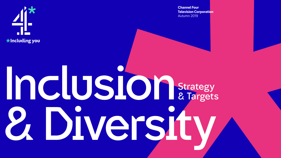

**Channel Four Television Corporation** Autumn 2019

# Strategy & Targets2. Diversity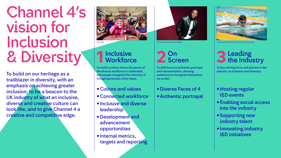# Channel 4's vision for Inclusion & Diversity

### 1 Inclusive<br>1 Workforc Workforce

To build on our heritage as a trailblazer in diversity, with an emphasis on achieving greater inclusion; to be a beacon to the UK industry of what an inclusive, diverse and creative culture can look like, and to give Channel 4 a creative and competitive edge.



### 2 Scre Screen

To instill a culture where the power of the diverse workforce is celebrated, and people recognise that diversity of thought generates richer ideas.

- Hosting regular I&D events
- •Enabling social access into the industry
- •Supporting new industry talent
- Innovating industry I&D initiatives
- •Culture and values
- •Connected workforce
- Inclusive and diverse **leadership**
- •Development and advancement opportunities
- Internal metrics, targets and reporting



*The Lateish Show With Mo Gilligan*

To shift focus to authentic portrayal and representation, allowing audiences to recognise themselves on screen.

#### •Diverse Faces of 4 •Authentic portrayal



*London 2019 World Para Swimming Championships*

### **3**Leading the Industry

To be a driving force and pioneer in the industry on inclusion and diversity.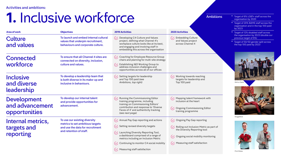#### Activities and ambitions:

# **1.** Inclusive workforce

| <b>Area of work</b>                                    | 1. Inclusive workforce<br><b>Objectives</b>                                                                                      | <b>2019 Activities</b>                                                                                                                                                                                                                                                                                                                                                                                               | <b>2020 Activities</b>                                                                                                                                                                                                                                                                                                          |
|--------------------------------------------------------|----------------------------------------------------------------------------------------------------------------------------------|----------------------------------------------------------------------------------------------------------------------------------------------------------------------------------------------------------------------------------------------------------------------------------------------------------------------------------------------------------------------------------------------------------------------|---------------------------------------------------------------------------------------------------------------------------------------------------------------------------------------------------------------------------------------------------------------------------------------------------------------------------------|
| <b>Culture</b><br>and values                           | To launch and embed internal cultural<br>values that underpin recruitment,<br>behaviours and corporate culture.                  | $\left\langle \swarrow\right\rangle$ Developing C4 Culture and Values<br>project, defining what Channel 4's<br>workplace culture looks like at its best,<br>and engaging and involving staff in<br>embedding this across the organisation                                                                                                                                                                            | $(\checkmark)$ Embedding Culture<br>and Values project<br>across Channel 4                                                                                                                                                                                                                                                      |
| <b>Connected</b><br>workforce                          | To ensure that all Channel 4 sites are<br>connected on diversity, inclusion,<br>culture and values.                              | $\left\langle \swarrow\right\rangle$ Coaching for Employee Resource Group<br>chairs and planning for multi-site strategy<br>Establishing I&D Working Group to<br>address inclusion challenges and<br>opportunities across all of our offices                                                                                                                                                                         |                                                                                                                                                                                                                                                                                                                                 |
| <b>Inclusive</b><br>and diverse<br>leadership          | To develop a leadership team that<br>is both diverse in its make-up and<br>inclusive in behaviours.                              | $(\checkmark)$ Setting targets for leadership<br>and Top 100 paid (see<br>Ambitions, top right)                                                                                                                                                                                                                                                                                                                      | $(\checkmark)$ Working towards reaching<br>targets for leadership and<br>Top 100 paid                                                                                                                                                                                                                                           |
| <b>Development</b><br>and advancement<br>opportunities | To develop our internal talent<br>and provide opportunities for<br>advancement.                                                  | $\left\langle \swarrow \right\rangle$ Running the Commissioning Editor<br>training programme, including<br>training on Commissioning Editors'<br>contribution and response to 'Diverse<br>Faces of 4' and authenticity tracking<br>(see next page)                                                                                                                                                                   | $(\checkmark)$ Mapping talent framework with<br>inclusion at the heart<br>$(\checkmark)$ Ongoing Commissioning Editor<br>training programme                                                                                                                                                                                     |
| Internal metrics,<br>targets and<br>reporting          | To use our existing diversity<br>metrics to set ambitious targets<br>and use the data for recruitment<br>and retention of staff. | $\bigvee$ Annual Pay Gap reporting and actions<br>$\left\langle \swarrow\right\rangle$ Setting revised diversity targets<br>$(\checkmark)$ Launching Diversity Reporting Tool,<br>a dashboard comprised of a range of<br>metrics including an Inclusion Metric<br>$\left\langle \swarrow\right\rangle$ Continuing to monitor C4 social mobility<br>$\left\langle \swarrow\right\rangle$ Measuring staff satisfaction | $\left\langle \swarrow\right\rangle$ Ongoing Pay Gap reporting<br>$\left\langle \swarrow \right\rangle$ Rolling out Inclusion Metric as part of<br>the Diversity Reporting tool<br>$\left\langle \swarrow\right\rangle$ Ongoing social mobility monitoring<br>$\left\langle \swarrow\right\rangle$ Measuring staff satisfaction |

- Ambitions Target of 6% LGBT+ staff across the organisation by 2020
	- Target of 20% BAME staff across the organisation and in the top 100 paid by 2023
	- Target of 12% disabled staff across the organisation by 2023 (double our previous target of 6%)
	- Target of 50/50 gender split across the top 100 paid by 2023



*Sink or Swim*



*Gogglebox*



*First Dates*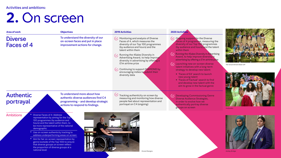#### Activities and ambitions:

# **2.** On screen

| <b>Area of work</b>                               | <b>Objectives</b>                                                                                                                                                                                                                                                                                                                                                                                                                                          | <b>2019 Activities</b>                                                                                                                                                                                                                                                                                                                                                                                                       | <b>2020 Activities</b>                                                                                                                                                                                                                                            |
|---------------------------------------------------|------------------------------------------------------------------------------------------------------------------------------------------------------------------------------------------------------------------------------------------------------------------------------------------------------------------------------------------------------------------------------------------------------------------------------------------------------------|------------------------------------------------------------------------------------------------------------------------------------------------------------------------------------------------------------------------------------------------------------------------------------------------------------------------------------------------------------------------------------------------------------------------------|-------------------------------------------------------------------------------------------------------------------------------------------------------------------------------------------------------------------------------------------------------------------|
| <b>Diverse</b><br>Faces of 4                      | To understand the diversity of our<br>on-screen faces and put in place<br>improvement actions for change.                                                                                                                                                                                                                                                                                                                                                  | Monitoring and analysis of Diverse<br>$(\swarrow)$<br>Faces of 4, which measures the<br>diversity of our Top 100 programmes<br>(by audience and hours) and the<br>talent within them<br>W Running the 4Sales Diversity in<br>Advertising Award, to help improve<br>diversity in advertising by offering a<br>£1m airtime prize<br>√ Continuing to support DIAMOND by<br>encouraging indies to submit their<br>diversity data | (√, Ongoing su<br>Faces of 4<br>diversity of<br>(by audien<br>within then<br>$(\checkmark)$ Running the<br>Award, to h<br>advertising<br>$(\checkmark)$ Launching<br>talent initia<br>strategy to<br>· 'Faces o<br>new you<br>• 'Faces o<br>and deve<br>aim to gr |
| <b>Authentic</b><br>portrayal                     | To understand more about how<br>authentic diverse audiences find C4<br>programming – and develop strategic<br>actions to respond to findings.                                                                                                                                                                                                                                                                                                              | Tracking authenticity on screen by<br>measuring and monitoring how diverse<br>people feel about representation and<br>portrayal on C4 (ongoing)                                                                                                                                                                                                                                                                              | $(\checkmark)$ Developing<br>Diverse Au<br>in order to<br>authentica<br>groups on                                                                                                                                                                                 |
| <b>Ambitions</b><br>demographic<br>national level | Diverse Faces of 4: Address<br>representation by aiming for the Top<br>100 programmes (by audience and<br>hours) and the talent within them, to<br>be more representative of the national<br>• Use on-screen authenticity tracking to<br>address underperforming areas on screen<br>Aim for fair on-screen representation by<br>genre (outside of the Top 100) to ensure<br>that diverse groups on screen reflect<br>the proportion of diverse groups at a | <b>Grand Designs</b>                                                                                                                                                                                                                                                                                                                                                                                                         |                                                                                                                                                                                                                                                                   |

|         | <b>2020 Activities</b>                                                                                                                                                               |
|---------|--------------------------------------------------------------------------------------------------------------------------------------------------------------------------------------|
|         | $\mathcal{A}$ Ongoing support for the Diverse<br>Faces of 4 programme, measuring the<br>diversity of our Top 100 programmes<br>(by audience and hours) and the talent<br>within them |
|         | V, Running the 4Sales Diversity in Advertising<br>Award, to help improve diversity in<br>advertising by offering a £1m airtime prize                                                 |
|         | J Launching new on-screen diverse<br>talent initiatives with a long-term<br>strategy to develop new talent:                                                                          |
|         | • 'Faces of E4' search to launch<br>new young talent<br>• 'Faces of Factual' search to find<br>and develop new talent with the<br>aim to grow in the factual genre                   |
| se<br>d | $\checkmark$ , Developing Commissioning Genre<br>Diverse Audience Strategies,<br>in order to evolve how we<br>authentically portray diverse<br>groups on screen                      |
|         |                                                                                                                                                                                      |



*The Great British Bake Off*



*Hollyoaks*



*Grand Designs Ackley Bridge*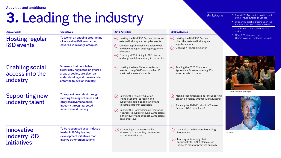Activities and ambitions:

# **3.** Leading the industry

## $\left\langle \swarrow \right\rangle$  Hosting the DIVERSE Festival plus other external industry and supplier events Ongoing NFTS training offer Running the 2020 Channel 4  $(\checkmark)$ Apprentice Scheme, offering 50% roles outside of London

| <b>Area of work</b>                                   | <b>Objectives</b>                                                                                                                                                    | <b>2019 Activities</b>                                                                                                                                                                                                                                                                                                                                                             | <b>2020 Activities</b>                                                                     |
|-------------------------------------------------------|----------------------------------------------------------------------------------------------------------------------------------------------------------------------|------------------------------------------------------------------------------------------------------------------------------------------------------------------------------------------------------------------------------------------------------------------------------------------------------------------------------------------------------------------------------------|--------------------------------------------------------------------------------------------|
| <b>Hosting regular</b><br><b>I&amp;D</b> events       | To launch an ongoing programme<br>of innovative I&D events that<br>covers a wide range of topics.                                                                    | $\left\langle \swarrow \right\rangle$ Hosting the DIVERSE Festival plus other<br>external industry and supplier events<br>$\left\langle \swarrow\right\rangle$ Celebrating Channel 4 Inclusion Week<br>and developing an ongoing programme<br>of events<br>$\left\langle \swarrow\right\rangle$ Offering NFTS training to 100 diverse<br>and regional talent already in the sector | Hosting the<br>$(\checkmark)$<br>plus other<br>supplier ev<br>$(\checkmark)$ Ongoing N     |
| <b>Enabling social</b><br>access into the<br>industry | To ensure that people from<br>historically neglected or ignored<br>areas of society are given an<br>understanding and the means to<br>enter the television industry. | $\left\langle \swarrow\right\rangle$ Hosting the New Material series of<br>events to help 16-25s across the UK<br>start their careers in media                                                                                                                                                                                                                                     | Running the<br>$(\swarrow)$<br>Apprentice<br>roles outsi                                   |
| <b>Supporting new</b><br>industry talent              | To support new talent through<br>existing training schemes and<br>progress diverse talent in<br>industry through targeted<br>initiatives and funding.                | $(\checkmark)$ Running the Paras Production<br>Trainee Scheme, to recruit and<br>support disabled people who want<br>to start a career in television<br>$(\checkmark)$ Running the Commissioning Mentoring<br>Network, to support young BAME talent<br>in the industry and support BAME talent<br>at a senior level                                                                | $(\checkmark)$ Making rec<br>creative di<br>$(\checkmark)$ Running th<br>Scheme (N         |
| Innovative<br>industry <b>I&amp;D</b><br>initiatives  | To be recognised as an industry<br>leader in I&D by leading<br>development initiatives that<br>involve other organisations.                                          | Continuing to measure and help<br>$(\checkmark)$<br>drive up social mobility return rates<br>across the industry                                                                                                                                                                                                                                                                   | $(\checkmark)$ Launching<br>Programn<br>Tracking i<br>$(\vee)$<br>specifical<br>indies, to |

- $\left\langle \swarrow \right\rangle$  Launching the Women's Mentoring Programme
- $\left\langle \swarrow \right\rangle$  Tracking indie supply chain specifically for BAME/female-led indies, to monitor progress annually

#### Ambitions • Provide 26 Apprentice positions with 50% of roles outside of London

 $\left\langle \swarrow \right\rangle$  Making recommendations for supporting *The Lateish Show With Mo Gilligan*

creative diversity through Alpha funding  $\sqrt{\phantom{a}}$  Running the 2020 Production Trainee Scheme (N&R indie focus)

- Support 16 disabled trainees on the Paras Production Trainee Scheme
- Continue to track social mobility metric
- Offer 8-12 places on the Commissioning Mentoring Network



*The Circle*

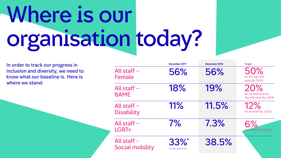# Where is our organisation today?

In order to track our progress in inclusion and diversity, we need to know what our baseline is. Here is where we stand:

|                                       | December 2017                          | December 2018 | <b>Target</b>                                          |
|---------------------------------------|----------------------------------------|---------------|--------------------------------------------------------|
| All staff -<br><b>Female</b>          | 56%                                    | 56%           | 50%<br>for the Top 100<br>paid (by 2023)               |
| All staff -<br><b>BAME</b>            | 18%                                    | 19%           | 20%<br>for all staff and the<br>Top 100 paid (by 2023) |
| All staff -<br><b>Disability</b>      | 11%                                    | 11.5%         | 12%<br>for all staff (by 2023)                         |
| All staff -<br>LGBT+                  | $7\%$                                  | 7.3%          | 6%<br>for all staff (by 2020)                          |
| All staff -<br><b>Social mobility</b> | $33\%$<br>*This figure relates to 2016 | 38.5%         |                                                        |